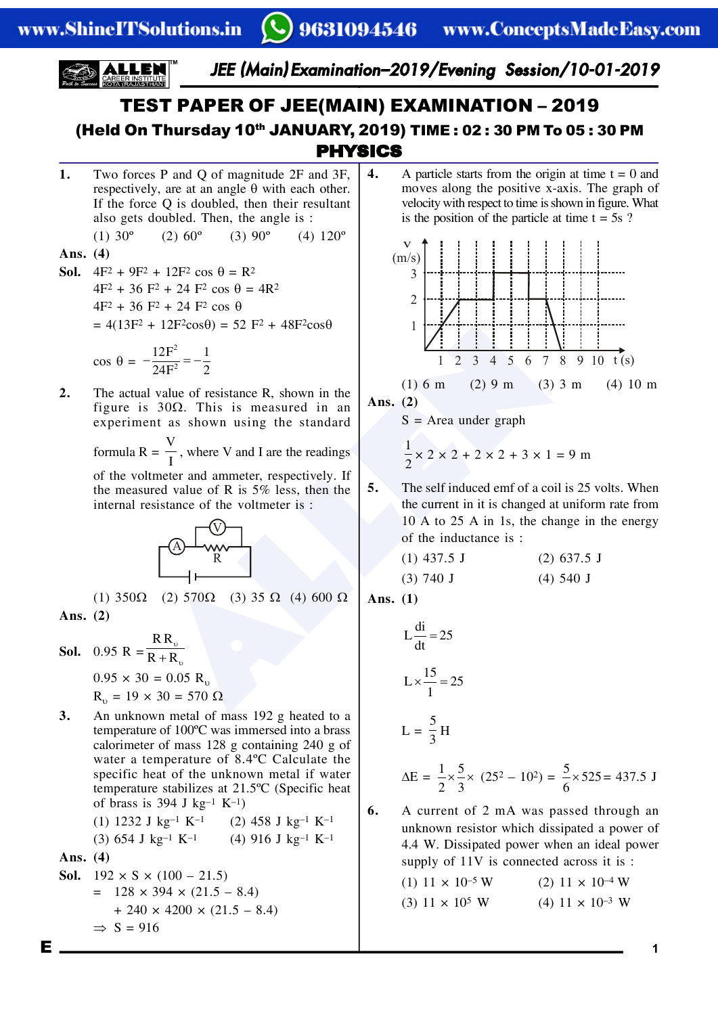

## PHYSICS TEST PAPER OF JEE(MAIN) EXAMINATION – 2019 (Held On Thursday 10<sup>th</sup> JANUARY, 2019) TIME : 02 : 30 PM To 05 : 30 PM

**1.** Two forces P and Q of magnitude 2F and 3F, respectively, are at an angle  $\theta$  with each other. If the force Q is doubled, then their resultant also gets doubled. Then, the angle is : (1)  $30^{\circ}$  (2)  $60^{\circ}$  (3)  $90^{\circ}$  (4)  $120^{\circ}$ 

#### **Ans. (4)**

**Sol.**  $4F^2 + 9F^2 + 12F^2 \cos \theta = R^2$  $4F^2 + 36 F^2 + 24 F^2 \cos \theta = 4R^2$  $4F^2 + 36 F^2 + 24 F^2 \cos \theta$  $= 4(13F^2 + 12F^2\cos\theta) = 52 F^2 + 48F^2\cos\theta$ 

$$
\cos \theta = -\frac{12F^2}{24F^2} = -\frac{1}{2}
$$

**2.** The actual value of resistance R, shown in the figure is  $30\Omega$ . This is measured in an experiment as shown using the standard

> formula R = V  $\frac{1}{I}$ , where V and I are the readings

> of the voltmeter and ammeter, respectively. If the measured value of R is 5% less, then the internal resistance of the voltmeter is :



(1)  $350\Omega$  (2)  $570\Omega$  (3)  $35\Omega$  (4)  $600\Omega$ **Ans. (2)**

**Sol.** 0.95 R = R R  $R + R$  $\overline{v}$  $+R_{v}$  $0.95 \times 30 = 0.05$  R<sub>p</sub>  $R_{v} = 19 \times 30 = 570 \Omega$ 

**3.** An unknown metal of mass 192 g heated to a temperature of 100ºC was immersed into a brass calorimeter of mass 128 g containing 240 g of water a temperature of 8.4ºC Calculate the specific heat of the unknown metal if water temperature stabilizes at 21.5ºC (Specific heat of brass is 394 J kg–1 K–1)

(1) 1232 J kg–1 K–1 (2) 458 J kg–1 K–1 (3) 654 J kg–1 K–1 (4) 916 J kg–1 K–1

**Ans. (4)**

**Sol.** 
$$
192 \times S \times (100 - 21.5)
$$
  
=  $128 \times 394 \times (21.5 - 8.4)$   
+  $240 \times 4200 \times (21.5 - 8.4)$   
 $\Rightarrow S = 916$ 

**4.** A particle starts from the origin at time  $t = 0$  and moves along the positive x-axis. The graph of velocity with respect to time is shown in figure. What is the position of the particle at time  $t = 5s$ ?



**Ans. (2)**

 $S = Area$  under graph

$$
\frac{1}{2} \times 2 \times 2 + 2 \times 2 + 3 \times 1 = 9 \text{ m}
$$

**5.** The self induced emf of a coil is 25 volts. When the current in it is changed at uniform rate from 10 A to 25 A in 1s, the change in the energy of the inductance is :

$$
(1) 437.5 J \n(2) 637.5 J \n(3) 740 J \n(4) 540 J
$$

**Ans. (1)**

$$
L\frac{di}{dt} = 25
$$

$$
L \times \frac{15}{1} = 25
$$

$$
L = \frac{5}{3}H
$$

$$
\Delta E = \frac{1}{2} \times \frac{5}{3} \times (25^2 - 10^2) = \frac{5}{6} \times 525 = 437.5 \text{ J}
$$

**6.** A current of 2 mA was passed through an unknown resistor which dissipated a power of 4.4 W. Dissipated power when an ideal power supply of  $11V$  is connected across it is :

| $(1)$ 11 $\times$ 10 <sup>-5</sup> W | $(2)$ 11 $\times$ 10 <sup>-4</sup> W |
|--------------------------------------|--------------------------------------|
| $(3)$ 11 $\times$ 10 <sup>5</sup> W  | $(4)$ 11 $\times$ 10 <sup>-3</sup> W |

E **1**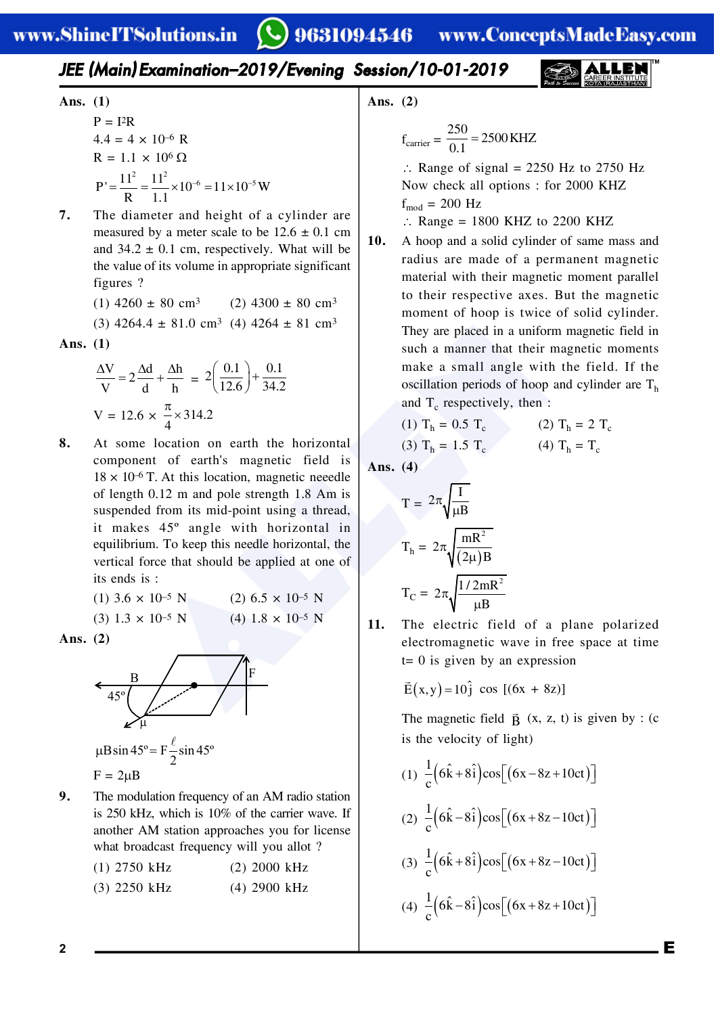### *JEE (Main) Examination–2019/Evening Session/10-01-2019*

Ans. (1)  
\n
$$
P = I2R
$$
\n
$$
4.4 = 4 \times 10^{-6} R
$$
\n
$$
R = 1.1 \times 10^{6} Ω
$$
\n
$$
P' = \frac{11^{2}}{R} = \frac{11^{2}}{1.1} \times 10^{-6} = 11 \times 10^{-5} W
$$

**7.** The diameter and height of a cylinder are measured by a meter scale to be  $12.6 \pm 0.1$  cm and  $34.2 \pm 0.1$  cm, respectively. What will be the value of its volume in appropriate significant figures ?

> (1)  $4260 \pm 80 \text{ cm}^3$  (2)  $4300 \pm 80 \text{ cm}^3$ (3)  $4264.4 \pm 81.0 \text{ cm}^3$  (4)  $4264 \pm 81 \text{ cm}^3$

Ans. 
$$
(1)
$$

$$
\frac{\Delta V}{V} = 2\frac{\Delta d}{d} + \frac{\Delta h}{h} = 2\left(\frac{0.1}{12.6}\right) + \frac{0.1}{34.2}
$$
  
V = 12.6 ×  $\frac{\pi}{4}$  × 314.2

4 ± 81.0 cm<sup>3</sup> (4) 4264 ± 81 cm<sup>3</sup><br>  $\frac{d}{dt} + \frac{\Delta h}{h} = 2\left(\frac{0.1}{12.6}\right) + \frac{0.1}{34.2}$ <br>  $\times \frac{\pi}{4} \times 314.2$ <br>  $\times \frac{\pi}{4} \times 314.2$ <br>
In cation on earth the horizontal<br>
occillation periods of hoop<br>
and T<sub>c</sub> respectively, then **8.** At some location on earth the horizontal component of earth's magnetic field is  $18 \times 10^{-6}$  T. At this location, magnetic neeedle of length 0.12 m and pole strength 1.8 Am is suspended from its mid-point using a thread, it makes 45º angle with horizontal in equilibrium. To keep this needle horizontal, the vertical force that should be applied at one of its ends is :

(1)  $3.6 \times 10^{-5}$  N (2)  $6.5 \times 10^{-5}$  N (3)  $1.3 \times 10^{-5}$  N (4)  $1.8 \times 10^{-5}$  N

**Ans. (2)**

 $F = 2\mu B$ 



**9.** The modulation frequency of an AM radio station is 250 kHz, which is 10% of the carrier wave. If another AM station approaches you for license what broadcast frequency will you allot ?

| $(1)$ 2750 kHz | $(2)$ 2000 kHz |
|----------------|----------------|
| $(3)$ 2250 kHz | $(4)$ 2900 kHz |

**Ans. (2)**

$$
f_{\text{carrier}} = \frac{250}{0.1} = 2500 \text{ KHZ}
$$

 $\therefore$  Range of signal = 2250 Hz to 2750 Hz Now check all options : for 2000 KHZ  $f_{mod}$  = 200 Hz

 $\therefore$  Range = 1800 KHZ to 2200 KHZ

**10.** A hoop and a solid cylinder of same mass and radius are made of a permanent magnetic material with their magnetic moment parallel to their respective axes. But the magnetic moment of hoop is twice of solid cylinder. They are placed in a uniform magnetic field in such a manner that their magnetic moments make a small angle with the field. If the oscillation periods of hoop and cylinder are  $T<sub>h</sub>$ and  $T_c$  respectively, then :

(1) 
$$
T_h = 0.5 T_c
$$
 (2)  $T_h = 2 T_c$ 

(3) 
$$
T_h = 1.5 T_c
$$
 (4)  $T_h = T_c$ 

**Ans. (4)**

$$
T = 2\pi \sqrt{\frac{I}{\mu B}}
$$

$$
T_h = 2\pi \sqrt{\frac{mR^2}{(2\mu)B}}
$$

$$
T_C = 2\pi \sqrt{\frac{1/2mR^2}{\mu B}}
$$

**11.** The electric field of a plane polarized electromagnetic wave in free space at time  $t= 0$  is given by an expression

$$
\vec{E}(x,y) = 10\hat{j} \cos [(6x + 8z)]
$$

The magnetic field  $\vec{B}$  (x, z, t) is given by : (c is the velocity of light)

(1)  $\frac{1}{c} (6\hat{k} + 8\hat{i}) \cos[(6x - 8z + 10ct)]$ (2)  $\frac{1}{c} (6\hat{k} - 8\hat{i}) \cos[(6x + 8z - 10ct)]$ (3)  $\frac{1}{c} (6\hat{k} + 8\hat{i}) \cos[(6x + 8z - 10ct)]$ (4)  $\frac{1}{c} (6\hat{k} - 8\hat{i}) \cos[(6x + 8z + 10ct)]$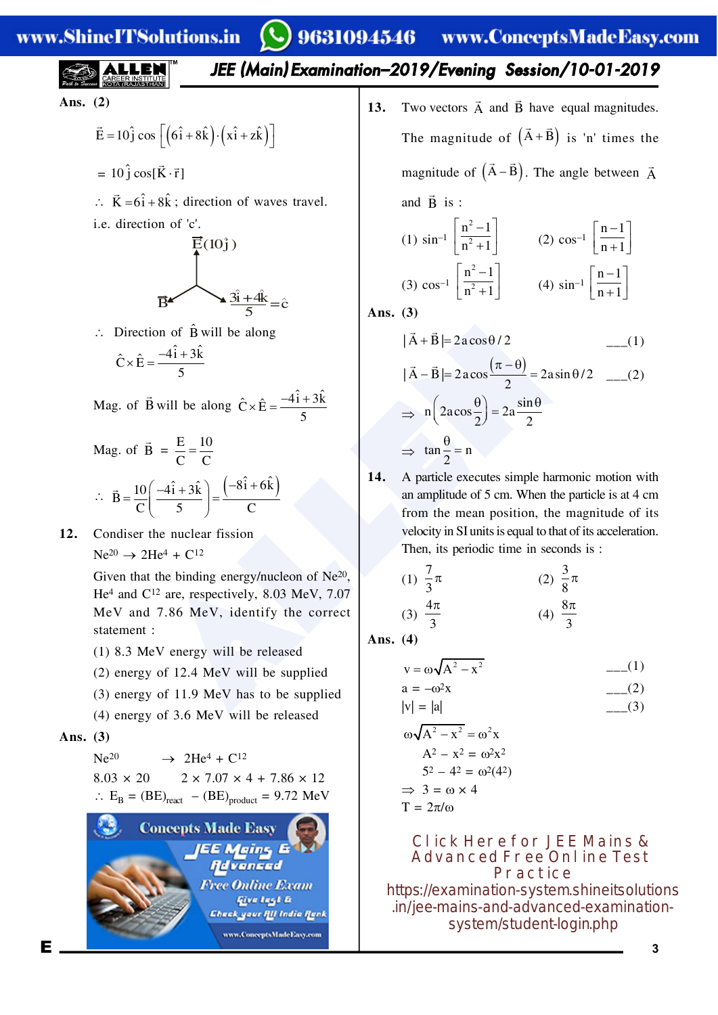# www.ShineITSolutions.in

# $\bullet$ ) 9631094546 www.ConceptsMadeEasy.com

*JEE (Main) Examination–2019/Evening Session/10-01-2019*

**Ans. (2)**

$$
\vec{E} = 10\hat{j}\cos\left[\left(6\hat{i} + 8\hat{k}\right)\cdot\left(x\hat{i} + z\hat{k}\right)\right]
$$

- $= 10 \hat{j} \cos[\vec{K} \cdot \vec{r}]$
- $\therefore \vec{K} = 6\hat{i} + 8\hat{k}$ ; direction of waves travel.
- i.e. direction of 'c'.



 $\therefore$  Direction of  $\hat{B}$  will be along

$$
\hat{C} \times \hat{E} = \frac{-4\hat{i} + 3\hat{k}}{5}
$$

Mag. of B  $\vec{B}$  will be along  $\hat{C} \times \hat{E} = \frac{-4\hat{i} + 3\hat{k}}{5}$ 5  $\times \hat{E} = \frac{-4i +}{}$ 

$$
\begin{aligned} \text{Mag. of } \vec{B} &= \frac{E}{C} = \frac{10}{C} \\ \therefore \ \vec{B} &= \frac{10}{C} \bigg( \frac{-4\hat{i} + 3\hat{k}}{5} \bigg) = \frac{\left( -8\hat{i} + 6\hat{k} \right)}{C} \end{aligned}
$$

**12.** Condiser the nuclear fission  $Ne^{20} \rightarrow 2He^{4} + C^{12}$ 

> Given that the binding energy/nucleon of Ne20, He<sup>4</sup> and C<sup>12</sup> are, respectively, 8.03 MeV, 7.07 MeV and 7.86 MeV, identify the correct statement :

- (1) 8.3 MeV energy will be released
- (2) energy of 12.4 MeV will be supplied
- (3) energy of 11.9 MeV has to be supplied
- (4) energy of 3.6 MeV will be released

#### **Ans. (3)**

 $Ne^{20} \rightarrow 2He^{4} + C^{12}$ 

 $8.03 \times 20$   $2 \times 7.07 \times 4 + 7.86 \times 12$  $\therefore$  E<sub>B</sub> = (BE)<sub>react</sub> – (BE)<sub>product</sub> = 9.72 MeV



**13.** Two vectors  $\vec{A}$  and  $\vec{B}$  have equal magnitudes. The magnitude of  $(\vec{A} + \vec{B})$  is 'n' times the magnitude of  $(\vec{A} - \vec{B})$ . The angle between  $\vec{A}$ and  $\vec{B}$  is :

(1) 
$$
\sin^{-1} \left[ \frac{n^2 - 1}{n^2 + 1} \right]
$$
 (2)  $\cos^{-1} \left[ \frac{n - 1}{n + 1} \right]$   
(3)  $\cos^{-1} \left[ \frac{n^2 - 1}{n^2 + 1} \right]$  (4)  $\sin^{-1} \left[ \frac{n - 1}{n + 1} \right]$ 

**Ans. (3)**

 | A B | 2a cos / 2 \_\_\_(1) | A B | 2acos 2asin / 2 <sup>2</sup> \_\_\_(2) sin n 2acos 2a 2 2 tan n <sup>2</sup>

**14.** A particle executes simple harmonic motion with an amplitude of 5 cm. When the particle is at 4 cm from the mean position, the magnitude of its velocity in SI units is equal to that of its acceleration. Then, its periodic time in seconds is :

(1) 
$$
\frac{7}{3}\pi
$$
  
\n(2)  $\frac{3}{8}\pi$   
\n(3)  $\frac{4\pi}{3}$   
\n(4)  $\frac{8\pi}{3}$ 

**Ans. (4)**

$$
v = \omega \sqrt{A^2 - x^2}
$$
 ----(1)  
\na = -\omega<sup>2</sup>x ----(2)  
\n|v| = |a|  
\n
$$
\omega \sqrt{A^2 - x^2} = \omega^2 x
$$
  
\nA<sup>2</sup> - x<sup>2</sup> = \omega<sup>2</sup>x<sup>2</sup>  
\n5<sup>2</sup> - 4<sup>2</sup> = \omega<sup>2</sup>(4<sup>2</sup>)  
\n⇒ 3 = \omega × 4  
\nT = 2π/ω

**Click Here for JEE Mains & Advanced Free Online Test Practice** [https://examination-system.shineitsolutions](https://examination-system.shineitsolutions.in/jee-mains-and-advanced-examination-system/student-login.php) .in/jee-mains-and-advanced-examinationsystem/student-login.php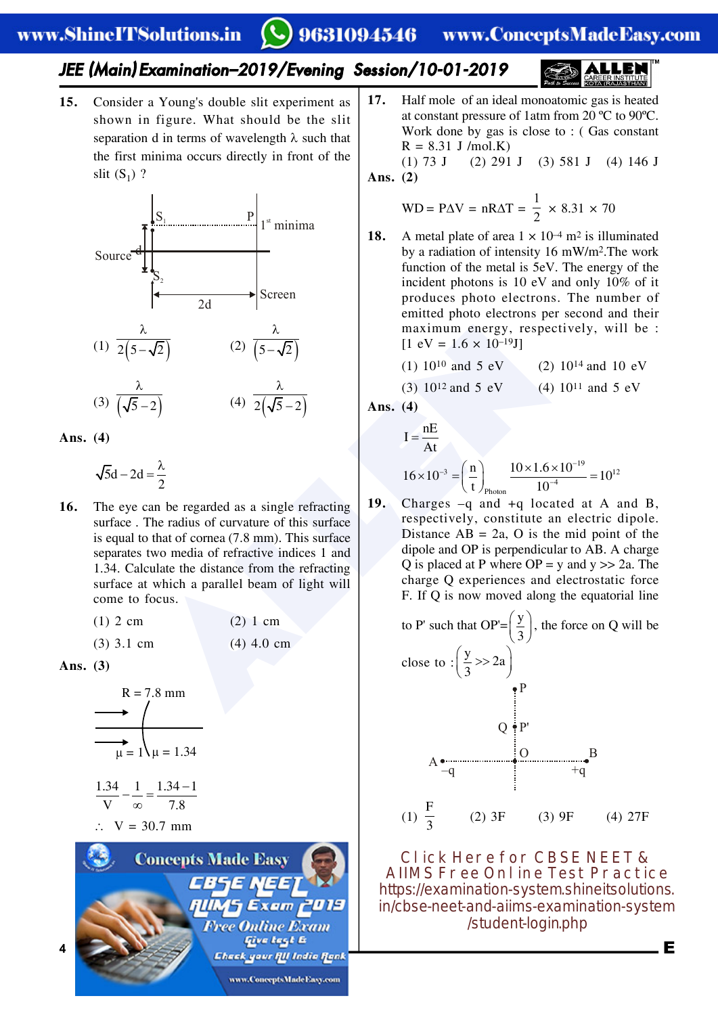#### 9631094546 www.ConceptsMadeEasy.com

#### *JEE (Main) Examination–2019/Evening Session/10-01-2019*

**15.** Consider a Young's double slit experiment as shown in figure. What should be the slit separation d in terms of wavelength  $\lambda$  such that the first minima occurs directly in front of the slit  $(S_1)$ ?



**Ans. (4)**

 $5d - 2d$ 2  $-2d=\frac{\lambda}{2}$ 

(2)  $\frac{\lambda}{\sqrt{2}}$  (2)  $\frac{\lambda}{5-\sqrt{2}}$  (1)  $10^{10}$  and 5 eV<br>
(4)  $\frac{\lambda}{2(\sqrt{5}-2)}$  (3)  $10^{12}$  and 5 eV<br>
(4)  $\frac{\lambda}{2(\sqrt{5}-2)}$  (3)  $10^{12}$  and 5 eV<br>
(4)  $\frac{\lambda}{2(\sqrt{5}-2)}$  (3)  $10^{12}$  and 5 eV<br>
(4)  $\frac{\lambda}{4}$  (3)  $10^{12}$  and 5 e **16.** The eye can be regarded as a single refracting surface . The radius of curvature of this surface is equal to that of cornea (7.8 mm). This surface separates two media of refractive indices 1 and 1.34. Calculate the distance from the refracting surface at which a parallel beam of light will come to focus.

| $(1)$ 2 cm | (2) 1 cm |
|------------|----------|
|            |          |

(3) 3.1 cm (4) 4.0 cm

**Ans. (3)**

$$
R = 7.8 \text{ mm}
$$
\n
$$
\longrightarrow \qquad \qquad \downarrow
$$
\n
$$
\downarrow
$$
\n
$$
\downarrow
$$
\n
$$
\downarrow
$$
\n
$$
\downarrow
$$
\n
$$
\downarrow
$$
\n
$$
\downarrow
$$
\n
$$
\downarrow
$$
\n
$$
\downarrow
$$
\n
$$
\downarrow
$$
\n
$$
\downarrow
$$
\n
$$
\downarrow
$$
\n
$$
\downarrow
$$
\n
$$
\downarrow
$$
\n
$$
\downarrow
$$
\n
$$
\downarrow
$$
\n
$$
\downarrow
$$
\n
$$
\downarrow
$$
\n
$$
\downarrow
$$
\n
$$
\downarrow
$$
\n
$$
\downarrow
$$
\n
$$
\downarrow
$$
\n
$$
\downarrow
$$
\n
$$
\downarrow
$$
\n
$$
\downarrow
$$
\n
$$
\downarrow
$$
\n
$$
\downarrow
$$
\n
$$
\downarrow
$$
\n
$$
\downarrow
$$
\n
$$
\downarrow
$$
\n
$$
\downarrow
$$
\n
$$
\downarrow
$$
\n
$$
\downarrow
$$
\n
$$
\downarrow
$$
\n
$$
\downarrow
$$
\n
$$
\downarrow
$$
\n
$$
\downarrow
$$
\n
$$
\downarrow
$$
\n
$$
\downarrow
$$
\n
$$
\downarrow
$$
\n
$$
\downarrow
$$
\n
$$
\downarrow
$$
\n
$$
\downarrow
$$
\n
$$
\downarrow
$$
\n
$$
\downarrow
$$
\n
$$
\downarrow
$$
\n
$$
\downarrow
$$
\n
$$
\downarrow
$$
\n
$$
\downarrow
$$
\n
$$
\downarrow
$$
\n
$$
\downarrow
$$
\n
$$
\downarrow
$$
\n
$$
\downarrow
$$
\n
$$
\downarrow
$$
\n
$$
\downarrow
$$
\n
$$
\downarrow
$$
\n
$$
\downarrow
$$
\n
$$
\downarrow
$$
\n
$$
\downarrow
$$
\n
$$
\downarrow
$$
\n
$$
\downarrow
$$
\n<math display="block</math>



**17.** Half mole of an ideal monoatomic gas is heated at constant pressure of 1atm from 20 ºC to 90ºC. Work done by gas is close to : ( Gas constant  $R = 8.31$  J /mol.K) (1) 73 J (2) 291 J (3) 581 J (4) 146 J

**Ans. (2)**

$$
WD = P\Delta V = nR\Delta T = \frac{1}{2} \times 8.31 \times 70
$$

**18.** A metal plate of area  $1 \times 10^{-4}$  m<sup>2</sup> is illuminated by a radiation of intensity 16 mW/m2.The work function of the metal is 5eV. The energy of the incident photons is 10 eV and only 10% of it produces photo electrons. The number of emitted photo electrons per second and their maximum energy, respectively, will be :  $[1 \text{ eV} = 1.6 \times 10^{-19} \text{J}]$ 

(1)  $10^{10}$  and 5 eV (2)  $10^{14}$  and 10 eV

(3)  $10^{12}$  and 5 eV (4)  $10^{11}$  and 5 eV

Ans. 
$$
(4)
$$

I = 
$$
\frac{nE}{At}
$$
  
16×10<sup>-3</sup> =  $\left(\frac{n}{t}\right)_{\text{Photon}} \frac{10 \times 1.6 \times 10^{-19}}{10^{-4}} = 10^{12}$ 

**19.** Charges –q and +q located at A and B, respectively, constitute an electric dipole. Distance  $AB = 2a$ , O is the mid point of the dipole and OP is perpendicular to AB. A charge Q is placed at P where  $OP = y$  and  $y >> 2a$ . The charge Q experiences and electrostatic force F. If Q is now moved along the equatorial line



**Click Here for CBSE NEET & AIIMS Free Online Test Practice** https://examination-system.shineitsolutions. [in/cbse-neet-and-aiims-examination-system](https://examination-system.shineitsolutions.in/cbse-neet-and-aiims-examination-system/student-login.php) /student-login.php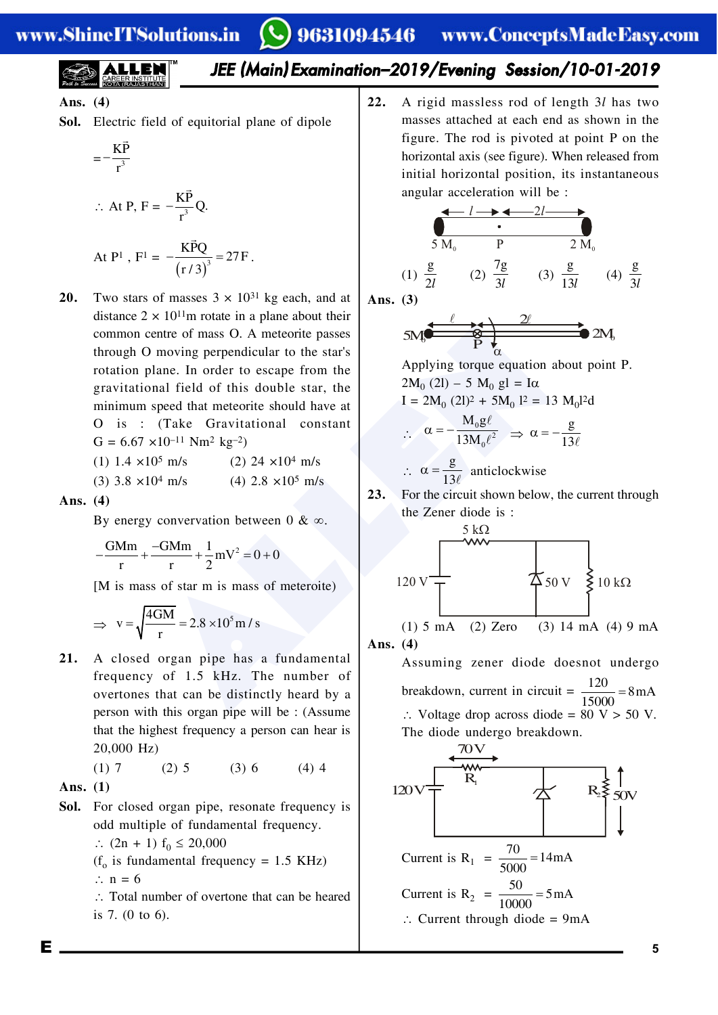*JEE (Main) Examination–2019/Evening Session/10-01-2019*

**Ans. (4)**

**Sol.** Electric field of equitorial plane of dipole

$$
=-\frac{K\vec{P}}{r^3}
$$

$$
\therefore \text{ At P, F} = -\frac{\text{K} \vec{\text{P}}}{\text{r}^3} \text{Q}.
$$

At P<sup>1</sup>, F<sup>1</sup> = 
$$
-\frac{\text{K}\vec{P}\text{Q}}{\left(\text{r}/3\right)^3} = 27\text{F}
$$

Figure 1 and a speed that meteorite passes<br>
Denne. In order to escape from the<br>
speed that meteorite passes<br>
speed that meteorite should have at<br>
speed that meteorite should have at<br>
speed that meteorite should have at<br>
s **20.** Two stars of masses  $3 \times 10^{31}$  kg each, and at distance  $2 \times 10^{11}$ m rotate in a plane about their common centre of mass O. A meteorite passes through O moving perpendicular to the star's rotation plane. In order to escape from the gravitational field of this double star, the minimum speed that meteorite should have at O is : (Take Gravitational constant  $G = 6.67 \times 10^{-11}$  Nm<sup>2</sup> kg<sup>-2</sup>)

.

| (1) 1.4 $\times$ 10 <sup>5</sup> m/s | $(2)$ 24 $\times$ 10 <sup>4</sup> m/s  |
|--------------------------------------|----------------------------------------|
| (3) $3.8 \times 10^4$ m/s            | $(4)$ 2.8 $\times$ 10 <sup>5</sup> m/s |

**Ans. (4)**

By energy convervation between  $0 \& \infty$ .

$$
-\frac{GMm}{r} + \frac{-GMm}{r} + \frac{1}{2}mV^2 = 0 + 0
$$

[M is mass of star m is mass of meteroite)

$$
\Rightarrow v = \sqrt{\frac{4GM}{r}} = 2.8 \times 10^5 \text{ m/s}
$$

**21.** A closed organ pipe has a fundamental frequency of 1.5 kHz. The number of overtones that can be distinctly heard by a person with this organ pipe will be : (Assume that the highest frequency a person can hear is 20,000 Hz)

(1) 7 (2) 5 (3) 6 (4) 4

**Ans. (1)**

**Sol.** For closed organ pipe, resonate frequency is odd multiple of fundamental frequency.

 $\therefore$  (2n + 1) f<sub>0</sub>  $\leq$  20,000

$$
(fo is fundamental frequency = 1.5 kHz)
$$
  
∴ n = 6

 $\therefore$  Total number of overtone that can be heared is 7. (0 to 6).

**22.** A rigid massless rod of length 3*l* has two masses attached at each end as shown in the figure. The rod is pivoted at point P on the horizontal axis (see figure). When released from initial horizontal position, its instantaneous angular acceleration will be :

$$
\begin{array}{cccc}\n & l & \rightarrow & 2l & \rightarrow & \\
 & \bullet & 2l & \rightarrow & \\
 & 5 \text{ M}_{0} & P & 2 \text{ M}_{0} \\
\text{(1) } \frac{\text{g}}{2l} & \text{(2) } \frac{7 \text{g}}{3l} & \text{(3) } \frac{\text{g}}{13l} & \text{(4) } \frac{\text{g}}{3l}\n\end{array}
$$

**Ans. (3)**

$$
5M\bigodot \qquad \qquad \overbrace{P \uparrow \qquad \qquad Q} \qquad \qquad \overbrace{P \uparrow \qquad \qquad Q} \qquad \qquad 2M\bigodot
$$

Applying torque equation about point P.  $2M_0$  (2l) – 5  $M_0$  gl = I $\alpha$ 

$$
I = 2M_0 (2l)^2 + 5M_0 l^2 = 13 M_0 l^2 d
$$

$$
\therefore \quad \alpha = -\frac{M_0 g \ell}{13 M_0 \ell^2} \quad \Rightarrow \quad \alpha = -\frac{g}{13 \ell}
$$
\n
$$
\therefore \quad \alpha = \frac{g}{13 \ell} \quad \text{anticlockwise}
$$

**23.** For the circuit shown below, the current through the Zener diode is :

$$
\begin{array}{c|c}\n & 5 k\Omega \\
120 V\n\end{array}
$$
\n  
\n(1) 5 mA (2) Zero (3) 14 mA (4) 9 mA  
\nAns. (4)

Assuming zener diode doesnot undergo breakdown, current in circuit =  $\frac{120}{15000}$  = 8 mA  $\therefore$  Voltage drop across diode = 80 V > 50 V. The diode undergo breakdown.

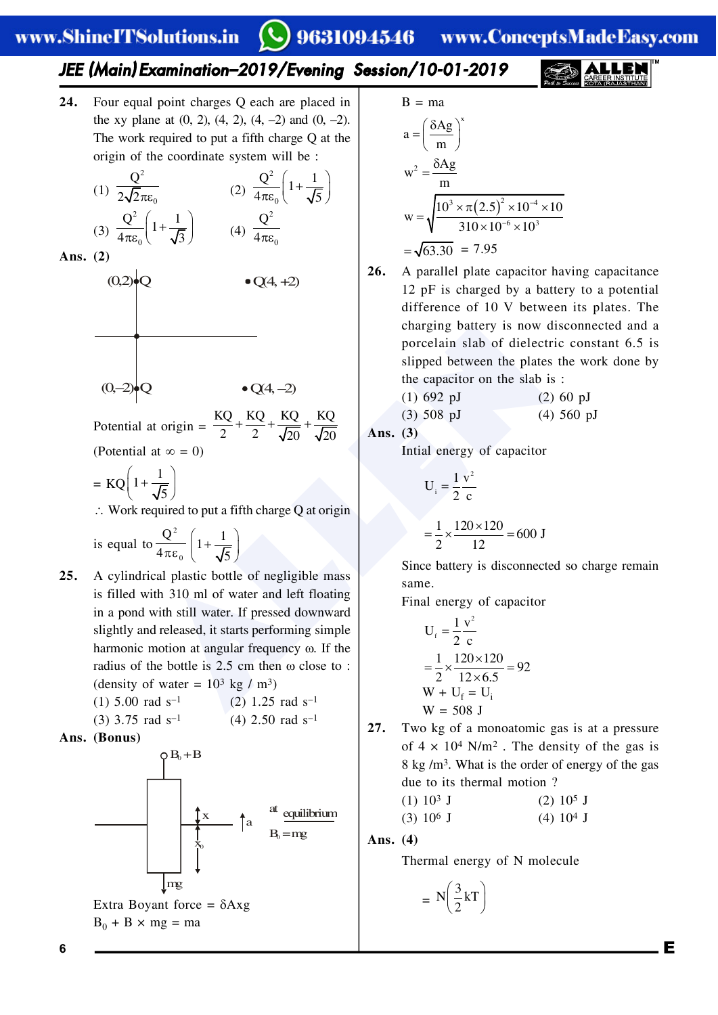9631094546 www.ConceptsMadeEasy.com

# *JEE (Main) Examination–2019/Evening Session/10-01-2019*

**24.** Four equal point charges Q each are placed in the xy plane at  $(0, 2)$ ,  $(4, 2)$ ,  $(4, -2)$  and  $(0, -2)$ . The work required to put a fifth charge Q at the origin of the coordinate system will be :

(1) 
$$
\frac{Q^2}{2\sqrt{2}\pi\epsilon_0}
$$
 (2)  $\frac{Q^2}{4\pi\epsilon_0} \left(1 + \frac{1}{\sqrt{5}}\right)$   
(3)  $\frac{Q^2}{4\pi\epsilon_0} \left(1 + \frac{1}{\sqrt{3}}\right)$  (4)  $\frac{Q^2}{4\pi\epsilon_0}$ 

**Ans. (2)**



 $\boldsymbol{0}$ 



Potential at origin =  $\frac{KQ}{2} + \frac{KQ}{2} + \frac{KQ}{\sqrt{20}} + \frac{KQ}{\sqrt{20}}$ (Potential at  $\infty = 0$ )

 $=$  KQ $\left(1+\frac{1}{L}\right)$  $\left(1+\frac{1}{\sqrt{5}}\right)$ 

 $(0,2)$ •O

 $\therefore$  Work required to put a fifth charge O at origin

is equal to  $\frac{1}{4\pi\varepsilon}$ 2 0 Q  $\frac{Q^2}{4\pi\varepsilon_0}\left(1+\frac{1}{\sqrt{\frac{2}{\varepsilon_0}}}\right)$ 5  $\left(1+\frac{1}{\sqrt{5}}\right)$ 

- charging battery is now correctain slab of dielect<br>
2<br>  $\bullet Q(4, -2)$ <br>
at origin =  $\frac{KQ}{2} + \frac{KQ}{2} + \frac{KQ}{\sqrt{20}} + \frac{KQ}{\sqrt{20}}$ <br>
at origin =  $\frac{KQ}{2} + \frac{KQ}{2} + \frac{KQ}{\sqrt{20}} + \frac{KQ}{\sqrt{20}}$ <br>
at  $\frac{(1) 692 \text{ pJ}}{(2)}$ <br>
at origin **25.** A cylindrical plastic bottle of negligible mass is filled with 310 ml of water and left floating in a pond with still water. If pressed downward slightly and released, it starts performing simple harmonic motion at angular frequency  $\omega$ . If the radius of the bottle is  $2.5 \text{ cm}$  then  $\omega$  close to : (density of water =  $10^3$  kg / m<sup>3</sup>) (1)  $5.00 \text{ rad s}^{-1}$  (2)  $1.25 \text{ rad s}^{-1}$ 
	- (3) 3.75 rad  $s^{-1}$  (4) 2.50 rad  $s^{-1}$
- **Ans. (Bonus)**



B = ma  
\n
$$
a = \left(\frac{\delta Ag}{m}\right)^{x}
$$
\n
$$
w^{2} = \frac{\delta Ag}{m}
$$
\n
$$
w = \sqrt{\frac{10^{3} \times \pi (2.5)^{2} \times 10^{-4} \times 10}{310 \times 10^{-6} \times 10^{3}}}
$$
\n
$$
= \sqrt{63.30} = 7.95
$$

**26.** A parallel plate capacitor having capacitance 12 pF is charged by a battery to a potential difference of 10 V between its plates. The charging battery is now disconnected and a porcelain slab of dielectric constant 6.5 is slipped between the plates the work done by the capacitor on the slab is :

(1) 692 pJ (2) 60 pJ

(3) 508 pJ (4) 560 pJ

**Ans. (3)**

Intial energy of capacitor

$$
U_i = \frac{1}{2} \frac{v^2}{c}
$$
  
=  $\frac{1}{2} \times \frac{120 \times 120}{12} = 600 \text{ J}$ 

Since battery is disconnected so charge remain same.

Final energy of capacitor

$$
U_{f} = \frac{1}{2} \frac{v^{2}}{c}
$$
  
=  $\frac{1}{2} \times \frac{120 \times 120}{12 \times 6.5} = 92$   
W + U<sub>f</sub> = U<sub>i</sub>  
W = 508 J

**27.** Two kg of a monoatomic gas is at a pressure of  $4 \times 10^4$  N/m<sup>2</sup>. The density of the gas is 8 kg /m3. What is the order of energy of the gas due to its thermal motion ?

$$
(1) 103 J \t(2) 105 J
$$

$$
(3) 10^6 J \t(4) 10^4 J
$$

**Ans. (4)**

Thermal energy of N molecule

$$
= N\left(\frac{3}{2}kT\right)
$$